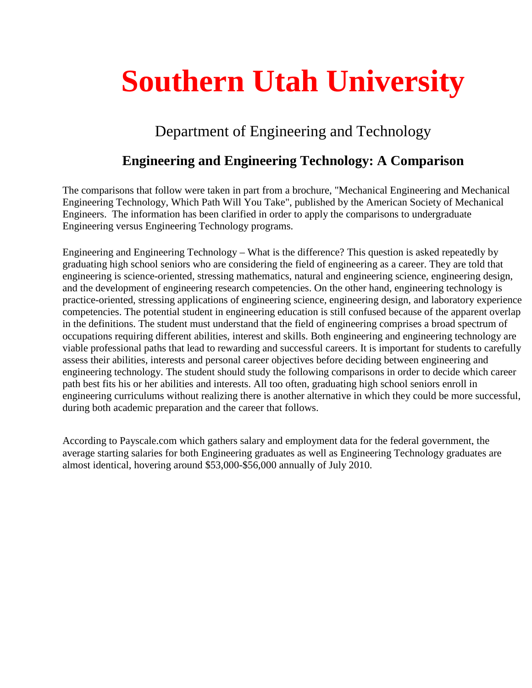# **Southern Utah University**

# Department of Engineering and Technology

# **Engineering and Engineering Technology: A Comparison**

The comparisons that follow were taken in part from a brochure, "Mechanical Engineering and Mechanical Engineering Technology, Which Path Will You Take", published by the American Society of Mechanical Engineers. The information has been clarified in order to apply the comparisons to undergraduate Engineering versus Engineering Technology programs.

Engineering and Engineering Technology – What is the difference? This question is asked repeatedly by graduating high school seniors who are considering the field of engineering as a career. They are told that engineering is science-oriented, stressing mathematics, natural and engineering science, engineering design, and the development of engineering research competencies. On the other hand, engineering technology is practice-oriented, stressing applications of engineering science, engineering design, and laboratory experience competencies. The potential student in engineering education is still confused because of the apparent overlap in the definitions. The student must understand that the field of engineering comprises a broad spectrum of occupations requiring different abilities, interest and skills. Both engineering and engineering technology are viable professional paths that lead to rewarding and successful careers. It is important for students to carefully assess their abilities, interests and personal career objectives before deciding between engineering and engineering technology. The student should study the following comparisons in order to decide which career path best fits his or her abilities and interests. All too often, graduating high school seniors enroll in engineering curriculums without realizing there is another alternative in which they could be more successful, during both academic preparation and the career that follows.

According to Payscale.com which gathers salary and employment data for the federal government, the average starting salaries for both Engineering graduates as well as Engineering Technology graduates are almost identical, hovering around \$53,000-\$56,000 annually of July 2010.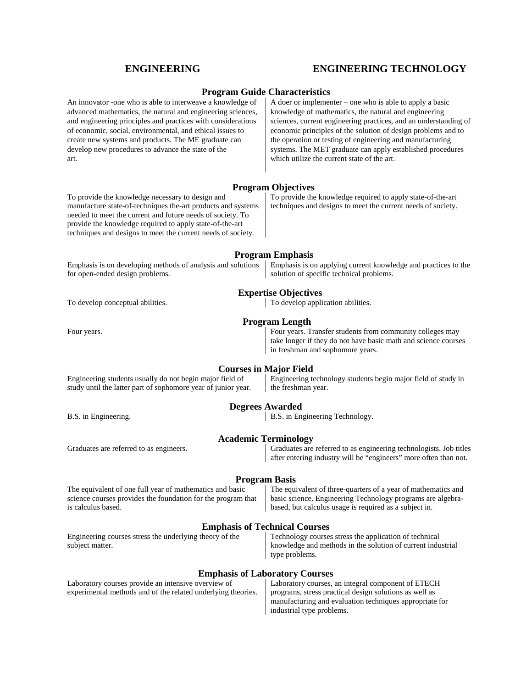## **ENGINEERING ENGINEERING TECHNOLOGY**

### **Program Guide Characteristics**

| An innovator -one who is able to interweave a knowledge of<br>advanced mathematics, the natural and engineering sciences,<br>and engineering principles and practices with considerations<br>of economic, social, environmental, and ethical issues to<br>create new systems and products. The ME graduate can<br>develop new procedures to advance the state of the<br>art. | A doer or implementer – one who is able to apply a basic<br>knowledge of mathematics, the natural and engineering<br>sciences, current engineering practices, and an understanding of<br>economic principles of the solution of design problems and to<br>the operation or testing of engineering and manufacturing<br>systems. The MET graduate can apply established procedures<br>which utilize the current state of the art. |
|------------------------------------------------------------------------------------------------------------------------------------------------------------------------------------------------------------------------------------------------------------------------------------------------------------------------------------------------------------------------------|----------------------------------------------------------------------------------------------------------------------------------------------------------------------------------------------------------------------------------------------------------------------------------------------------------------------------------------------------------------------------------------------------------------------------------|
|                                                                                                                                                                                                                                                                                                                                                                              | <b>Program Objectives</b>                                                                                                                                                                                                                                                                                                                                                                                                        |
| To provide the knowledge necessary to design and<br>manufacture state-of-techniques the-art products and systems<br>needed to meet the current and future needs of society. To<br>provide the knowledge required to apply state-of-the-art<br>techniques and designs to meet the current needs of society.                                                                   | To provide the knowledge required to apply state-of-the-art<br>techniques and designs to meet the current needs of society.                                                                                                                                                                                                                                                                                                      |
|                                                                                                                                                                                                                                                                                                                                                                              | <b>Program Emphasis</b>                                                                                                                                                                                                                                                                                                                                                                                                          |
| Emphasis is on developing methods of analysis and solutions<br>for open-ended design problems.                                                                                                                                                                                                                                                                               | Emphasis is on applying current knowledge and practices to the<br>solution of specific technical problems.                                                                                                                                                                                                                                                                                                                       |
| <b>Expertise Objectives</b>                                                                                                                                                                                                                                                                                                                                                  |                                                                                                                                                                                                                                                                                                                                                                                                                                  |
| To develop conceptual abilities.                                                                                                                                                                                                                                                                                                                                             | To develop application abilities.                                                                                                                                                                                                                                                                                                                                                                                                |
| <b>Program Length</b>                                                                                                                                                                                                                                                                                                                                                        |                                                                                                                                                                                                                                                                                                                                                                                                                                  |
| Four years.                                                                                                                                                                                                                                                                                                                                                                  | Four years. Transfer students from community colleges may<br>take longer if they do not have basic math and science courses<br>in freshman and sophomore years.                                                                                                                                                                                                                                                                  |
| Engineering students usually do not begin major field of<br>study until the latter part of sophomore year of junior year.                                                                                                                                                                                                                                                    | <b>Courses in Major Field</b><br>Engineering technology students begin major field of study in<br>the freshman year.                                                                                                                                                                                                                                                                                                             |
| <b>Degrees Awarded</b>                                                                                                                                                                                                                                                                                                                                                       |                                                                                                                                                                                                                                                                                                                                                                                                                                  |
| B.S. in Engineering.                                                                                                                                                                                                                                                                                                                                                         | B.S. in Engineering Technology.                                                                                                                                                                                                                                                                                                                                                                                                  |
| <b>Academic Terminology</b>                                                                                                                                                                                                                                                                                                                                                  |                                                                                                                                                                                                                                                                                                                                                                                                                                  |
| Graduates are referred to as engineers.                                                                                                                                                                                                                                                                                                                                      | Graduates are referred to as engineering technologists. Job titles<br>after entering industry will be "engineers" more often than not.                                                                                                                                                                                                                                                                                           |
| <b>Program Basis</b>                                                                                                                                                                                                                                                                                                                                                         |                                                                                                                                                                                                                                                                                                                                                                                                                                  |
| The equivalent of one full year of mathematics and basic<br>science courses provides the foundation for the program that<br>is calculus based.                                                                                                                                                                                                                               | The equivalent of three-quarters of a year of mathematics and<br>basic science. Engineering Technology programs are algebra-<br>based, but calculus usage is required as a subject in.                                                                                                                                                                                                                                           |
|                                                                                                                                                                                                                                                                                                                                                                              | <b>Emphasis of Technical Courses</b>                                                                                                                                                                                                                                                                                                                                                                                             |
| Engineering courses stress the underlying theory of the<br>subject matter.                                                                                                                                                                                                                                                                                                   | Technology courses stress the application of technical<br>knowledge and methods in the solution of current industrial<br>type problems.                                                                                                                                                                                                                                                                                          |
| <b>Emphasis of Laboratory Courses</b>                                                                                                                                                                                                                                                                                                                                        |                                                                                                                                                                                                                                                                                                                                                                                                                                  |
| Laboratory courses provide an intensive overview of<br>experimental methods and of the related underlying theories.                                                                                                                                                                                                                                                          | Laboratory courses, an integral component of ETECH<br>programs, stress practical design solutions as well as<br>manufacturing and evaluation techniques appropriate for<br>industrial type problems.                                                                                                                                                                                                                             |